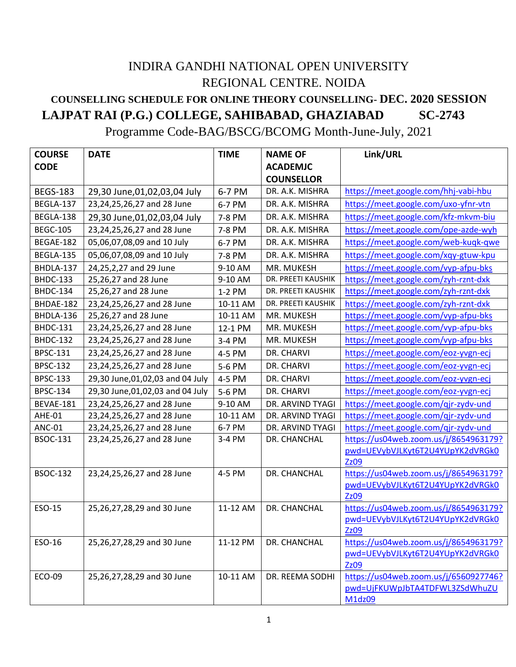## INDIRA GANDHI NATIONAL OPEN UNIVERSITY REGIONAL CENTRE. NOIDA **COUNSELLING SCHEDULE FOR ONLINE THEORY COUNSELLING- DEC. 2020 SESSION**

## **LAJPAT RAI (P.G.) COLLEGE, SAHIBABAD, GHAZIABAD SC-2743**

Programme Code-BAG/BSCG/BCOMG Month-June-July, 2021

| <b>COURSE</b>   | <b>DATE</b>                        | <b>TIME</b> | <b>NAME OF</b>     | Link/URL                                 |
|-----------------|------------------------------------|-------------|--------------------|------------------------------------------|
| <b>CODE</b>     |                                    |             | <b>ACADEMJC</b>    |                                          |
|                 |                                    |             | <b>COUNSELLOR</b>  |                                          |
| <b>BEGS-183</b> | 29,30 June, 01, 02, 03, 04 July    | 6-7 PM      | DR. A.K. MISHRA    | https://meet.google.com/hhj-vabi-hbu     |
| BEGLA-137       | 23,24,25,26,27 and 28 June         | 6-7 PM      | DR. A.K. MISHRA    | https://meet.google.com/uxo-yfnr-vtn     |
| BEGLA-138       | 29,30 June,01,02,03,04 July        | 7-8 PM      | DR. A.K. MISHRA    | https://meet.google.com/kfz-mkvm-biu     |
| <b>BEGC-105</b> | 23,24,25,26,27 and 28 June         | 7-8 PM      | DR. A.K. MISHRA    | https://meet.google.com/ope-azde-wyh     |
| BEGAE-182       | 05,06,07,08,09 and 10 July         | 6-7 PM      | DR. A.K. MISHRA    | https://meet.google.com/web-kuqk-qwe     |
| BEGLA-135       | 05,06,07,08,09 and 10 July         | 7-8 PM      | DR. A.K. MISHRA    | https://meet.google.com/xqy-gtuw-kpu     |
| BHDLA-137       | 24,25,2,27 and 29 June             | 9-10 AM     | MR. MUKESH         | https://meet.google.com/vyp-afpu-bks     |
| <b>BHDC-133</b> | 25,26,27 and 28 June               | 9-10 AM     | DR. PREETI KAUSHIK | https://meet.google.com/zyh-rznt-dxk     |
| <b>BHDC-134</b> | 25,26,27 and 28 June               | 1-2 PM      | DR. PREETI KAUSHIK | https://meet.google.com/zyh-rznt-dxk     |
| BHDAE-182       | 23,24,25,26,27 and 28 June         | 10-11 AM    | DR. PREETI KAUSHIK | https://meet.google.com/zyh-rznt-dxk     |
| BHDLA-136       | 25,26,27 and 28 June               | 10-11 AM    | MR. MUKESH         | https://meet.google.com/vyp-afpu-bks     |
| <b>BHDC-131</b> | 23,24,25,26,27 and 28 June         | 12-1 PM     | MR. MUKESH         | https://meet.google.com/vyp-afpu-bks     |
| <b>BHDC-132</b> | 23,24,25,26,27 and 28 June         | 3-4 PM      | MR. MUKESH         | https://meet.google.com/vyp-afpu-bks     |
| <b>BPSC-131</b> | 23,24,25,26,27 and 28 June         | 4-5 PM      | DR. CHARVI         | https://meet.google.com/eoz-yvgn-ecj     |
| <b>BPSC-132</b> | 23,24,25,26,27 and 28 June         | 5-6 PM      | DR. CHARVI         | https://meet.google.com/eoz-yvgn-ecj     |
| <b>BPSC-133</b> | 29,30 June, 01, 02, 03 and 04 July | 4-5 PM      | DR. CHARVI         | https://meet.google.com/eoz-yvgn-ecj     |
| <b>BPSC-134</b> | 29,30 June, 01, 02, 03 and 04 July | 5-6 PM      | DR. CHARVI         | https://meet.google.com/eoz-yvgn-ecj     |
| BEVAE-181       | 23,24,25,26,27 and 28 June         | 9-10 AM     | DR. ARVIND TYAGI   | https://meet.google.com/qjr-zydv-und     |
| AHE-01          | 23,24,25,26,27 and 28 June         | 10-11 AM    | DR. ARVIND TYAGI   | https://meet.google.com/qjr-zydv-und     |
| <b>ANC-01</b>   | 23,24,25,26,27 and 28 June         | 6-7 PM      | DR. ARVIND TYAGI   | https://meet.google.com/qjr-zydv-und     |
| <b>BSOC-131</b> | 23,24,25,26,27 and 28 June         | 3-4 PM      | DR. CHANCHAL       | https://us04web.zoom.us/j/8654963179?    |
|                 |                                    |             |                    | pwd=UEVybVJLKyt6T2U4YUpYK2dVRGk0         |
|                 |                                    |             |                    | Zz09                                     |
| <b>BSOC-132</b> | 23,24,25,26,27 and 28 June         | 4-5 PM      | DR. CHANCHAL       | https://us04web.zoom.us/j/8654963179?    |
|                 |                                    |             |                    | pwd=UEVybVJLKyt6T2U4YUpYK2dVRGk0<br>Zz09 |
| ESO-15          | 25,26,27,28,29 and 30 June         | 11-12 AM    | DR. CHANCHAL       | https://us04web.zoom.us/j/8654963179?    |
|                 |                                    |             |                    | pwd=UEVybVJLKyt6T2U4YUpYK2dVRGk0         |
|                 |                                    |             |                    | Zz09                                     |
| ESO-16          | 25,26,27,28,29 and 30 June         | 11-12 PM    | DR. CHANCHAL       | https://us04web.zoom.us/j/8654963179?    |
|                 |                                    |             |                    | pwd=UEVybVJLKyt6T2U4YUpYK2dVRGk0         |
|                 |                                    |             |                    | Zz09                                     |
| ECO-09          | 25,26,27,28,29 and 30 June         | 10-11 AM    | DR. REEMA SODHI    | https://us04web.zoom.us/j/6560927746?    |
|                 |                                    |             |                    | pwd=UjFKUWpJbTA4TDFWL3ZSdWhuZU           |
|                 |                                    |             |                    | M1dz09                                   |